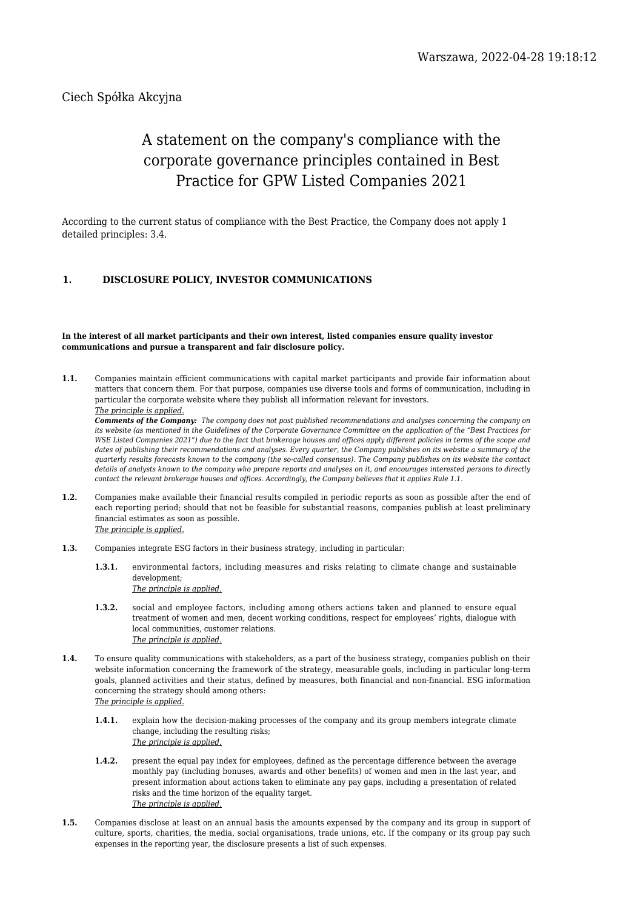# Ciech Spółka Akcyjna

# A statement on the company's compliance with the corporate governance principles contained in Best Practice for GPW Listed Companies 2021

According to the current status of compliance with the Best Practice, the Company does not apply 1 detailed principles: 3.4.

# **1. DISCLOSURE POLICY, INVESTOR COMMUNICATIONS**

#### **In the interest of all market participants and their own interest, listed companies ensure quality investor communications and pursue a transparent and fair disclosure policy.**

**1.1.** Companies maintain efficient communications with capital market participants and provide fair information about matters that concern them. For that purpose, companies use diverse tools and forms of communication, including in particular the corporate website where they publish all information relevant for investors.

*The principle is applied.*

*Comments of the Company: The company does not post published recommendations and analyses concerning the company on its website (as mentioned in the Guidelines of the Corporate Governance Committee on the application of the "Best Practices for WSE Listed Companies 2021") due to the fact that brokerage houses and offices apply different policies in terms of the scope and dates of publishing their recommendations and analyses. Every quarter, the Company publishes on its website a summary of the quarterly results forecasts known to the company (the so-called consensus). The Company publishes on its website the contact details of analysts known to the company who prepare reports and analyses on it, and encourages interested persons to directly contact the relevant brokerage houses and offices. Accordingly, the Company believes that it applies Rule 1.1.*

- **1.2.** Companies make available their financial results compiled in periodic reports as soon as possible after the end of each reporting period; should that not be feasible for substantial reasons, companies publish at least preliminary financial estimates as soon as possible. *The principle is applied.*
- **1.3.** Companies integrate ESG factors in their business strategy, including in particular:
	- **1.3.1.** environmental factors, including measures and risks relating to climate change and sustainable development; *The principle is applied.*
	- **1.3.2.** social and employee factors, including among others actions taken and planned to ensure equal treatment of women and men, decent working conditions, respect for employees' rights, dialogue with local communities, customer relations. *The principle is applied.*
- **1.4.** To ensure quality communications with stakeholders, as a part of the business strategy, companies publish on their website information concerning the framework of the strategy, measurable goals, including in particular long-term goals, planned activities and their status, defined by measures, both financial and non-financial. ESG information concerning the strategy should among others: *The principle is applied.*
	- **1.4.1.** explain how the decision-making processes of the company and its group members integrate climate change, including the resulting risks; *The principle is applied.*
	- **1.4.2.** present the equal pay index for employees, defined as the percentage difference between the average monthly pay (including bonuses, awards and other benefits) of women and men in the last year, and present information about actions taken to eliminate any pay gaps, including a presentation of related risks and the time horizon of the equality target. *The principle is applied.*
- **1.5.** Companies disclose at least on an annual basis the amounts expensed by the company and its group in support of culture, sports, charities, the media, social organisations, trade unions, etc. If the company or its group pay such expenses in the reporting year, the disclosure presents a list of such expenses.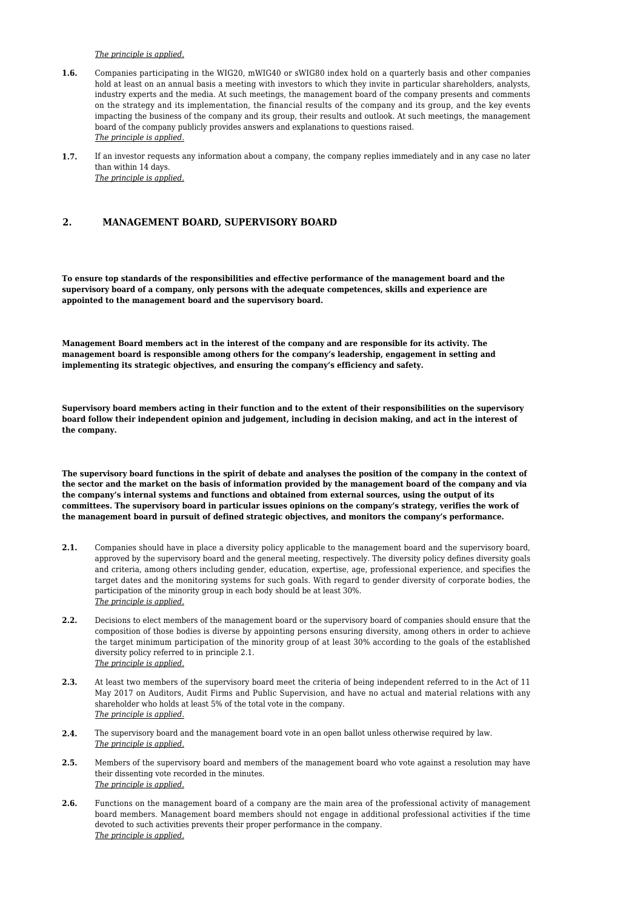#### *The principle is applied.*

- **1.6.** Companies participating in the WIG20, mWIG40 or sWIG80 index hold on a quarterly basis and other companies hold at least on an annual basis a meeting with investors to which they invite in particular shareholders, analysts, industry experts and the media. At such meetings, the management board of the company presents and comments on the strategy and its implementation, the financial results of the company and its group, and the key events impacting the business of the company and its group, their results and outlook. At such meetings, the management board of the company publicly provides answers and explanations to questions raised. *The principle is applied.*
- **1.7.** If an investor requests any information about a company, the company replies immediately and in any case no later than within 14 days. *The principle is applied.*

## **2. MANAGEMENT BOARD, SUPERVISORY BOARD**

**To ensure top standards of the responsibilities and effective performance of the management board and the supervisory board of a company, only persons with the adequate competences, skills and experience are appointed to the management board and the supervisory board.**

**Management Board members act in the interest of the company and are responsible for its activity. The management board is responsible among others for the company's leadership, engagement in setting and implementing its strategic objectives, and ensuring the company's efficiency and safety.**

**Supervisory board members acting in their function and to the extent of their responsibilities on the supervisory board follow their independent opinion and judgement, including in decision making, and act in the interest of the company.**

**The supervisory board functions in the spirit of debate and analyses the position of the company in the context of the sector and the market on the basis of information provided by the management board of the company and via the company's internal systems and functions and obtained from external sources, using the output of its committees. The supervisory board in particular issues opinions on the company's strategy, verifies the work of the management board in pursuit of defined strategic objectives, and monitors the company's performance.**

- **2.1.** Companies should have in place a diversity policy applicable to the management board and the supervisory board, approved by the supervisory board and the general meeting, respectively. The diversity policy defines diversity goals and criteria, among others including gender, education, expertise, age, professional experience, and specifies the target dates and the monitoring systems for such goals. With regard to gender diversity of corporate bodies, the participation of the minority group in each body should be at least 30%. *The principle is applied.*
- **2.2.** Decisions to elect members of the management board or the supervisory board of companies should ensure that the composition of those bodies is diverse by appointing persons ensuring diversity, among others in order to achieve the target minimum participation of the minority group of at least 30% according to the goals of the established diversity policy referred to in principle 2.1. *The principle is applied.*
- **2.3.** At least two members of the supervisory board meet the criteria of being independent referred to in the Act of 11 May 2017 on Auditors, Audit Firms and Public Supervision, and have no actual and material relations with any shareholder who holds at least 5% of the total vote in the company. *The principle is applied.*
- **2.4.** The supervisory board and the management board vote in an open ballot unless otherwise required by law. *The principle is applied.*
- **2.5.** Members of the supervisory board and members of the management board who vote against a resolution may have their dissenting vote recorded in the minutes. *The principle is applied.*
- **2.6.** Functions on the management board of a company are the main area of the professional activity of management board members. Management board members should not engage in additional professional activities if the time devoted to such activities prevents their proper performance in the company. *The principle is applied.*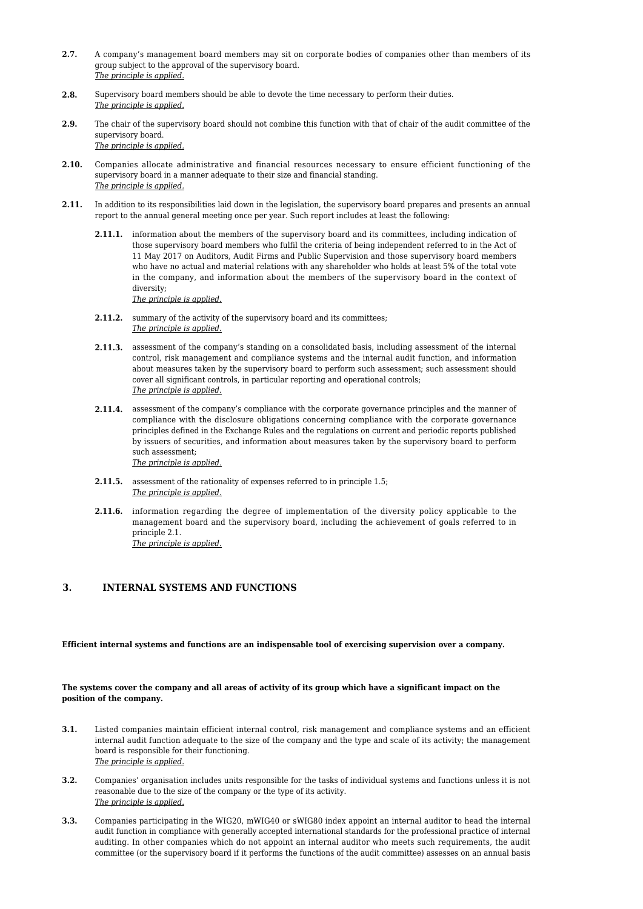- **2.7.** A company's management board members may sit on corporate bodies of companies other than members of its group subject to the approval of the supervisory board. *The principle is applied.*
- **2.8.** Supervisory board members should be able to devote the time necessary to perform their duties. *The principle is applied.*
- **2.9.** The chair of the supervisory board should not combine this function with that of chair of the audit committee of the supervisory board. *The principle is applied.*
- **2.10.** Companies allocate administrative and financial resources necessary to ensure efficient functioning of the supervisory board in a manner adequate to their size and financial standing. *The principle is applied.*
- **2.11.** In addition to its responsibilities laid down in the legislation, the supervisory board prepares and presents an annual report to the annual general meeting once per year. Such report includes at least the following:
	- **2.11.1.** information about the members of the supervisory board and its committees, including indication of those supervisory board members who fulfil the criteria of being independent referred to in the Act of 11 May 2017 on Auditors, Audit Firms and Public Supervision and those supervisory board members who have no actual and material relations with any shareholder who holds at least 5% of the total vote in the company, and information about the members of the supervisory board in the context of diversity;

*The principle is applied.*

- **2.11.2.** summary of the activity of the supervisory board and its committees; *The principle is applied.*
- **2.11.3.** assessment of the company's standing on a consolidated basis, including assessment of the internal control, risk management and compliance systems and the internal audit function, and information about measures taken by the supervisory board to perform such assessment; such assessment should cover all significant controls, in particular reporting and operational controls; *The principle is applied.*
- **2.11.4.** assessment of the company's compliance with the corporate governance principles and the manner of compliance with the disclosure obligations concerning compliance with the corporate governance principles defined in the Exchange Rules and the regulations on current and periodic reports published by issuers of securities, and information about measures taken by the supervisory board to perform such assessment; *The principle is applied.*
- **2.11.5.** assessment of the rationality of expenses referred to in principle 1.5; *The principle is applied.*
- **2.11.6.** information regarding the degree of implementation of the diversity policy applicable to the management board and the supervisory board, including the achievement of goals referred to in principle 2.1. *The principle is applied.*

# **3. INTERNAL SYSTEMS AND FUNCTIONS**

**Efficient internal systems and functions are an indispensable tool of exercising supervision over a company.**

#### **The systems cover the company and all areas of activity of its group which have a significant impact on the position of the company.**

- **3.1.** Listed companies maintain efficient internal control, risk management and compliance systems and an efficient internal audit function adequate to the size of the company and the type and scale of its activity; the management board is responsible for their functioning. *The principle is applied.*
- **3.2.** Companies' organisation includes units responsible for the tasks of individual systems and functions unless it is not reasonable due to the size of the company or the type of its activity. *The principle is applied.*
- **3.3.** Companies participating in the WIG20, mWIG40 or sWIG80 index appoint an internal auditor to head the internal audit function in compliance with generally accepted international standards for the professional practice of internal auditing. In other companies which do not appoint an internal auditor who meets such requirements, the audit committee (or the supervisory board if it performs the functions of the audit committee) assesses on an annual basis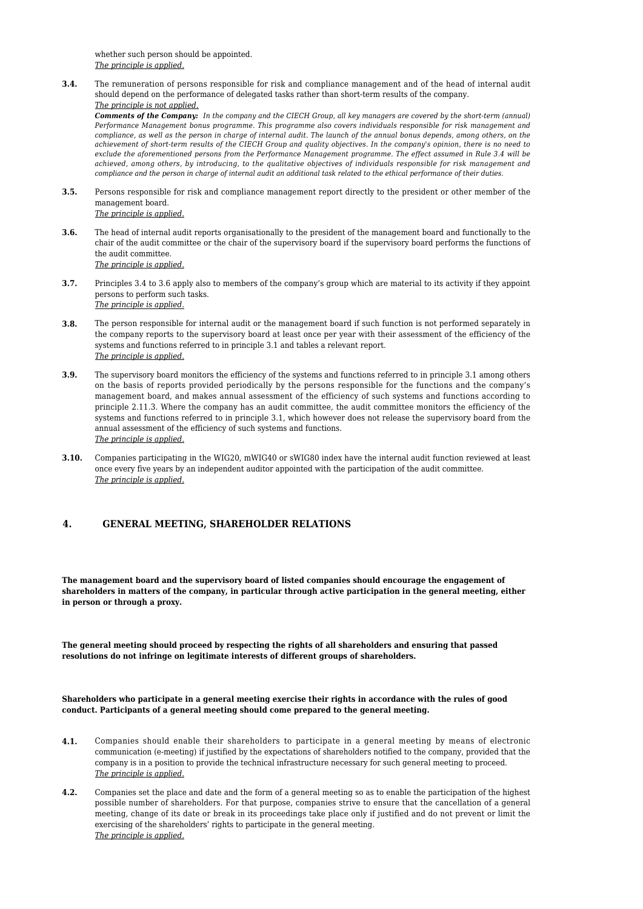whether such person should be appointed. *The principle is applied.*

**3.4.** The remuneration of persons responsible for risk and compliance management and of the head of internal audit should depend on the performance of delegated tasks rather than short-term results of the company. *The principle is not applied.*

*Comments of the Company: In the company and the CIECH Group, all key managers are covered by the short-term (annual) Performance Management bonus programme. This programme also covers individuals responsible for risk management and compliance, as well as the person in charge of internal audit. The launch of the annual bonus depends, among others, on the achievement of short-term results of the CIECH Group and quality objectives. In the company's opinion, there is no need to exclude the aforementioned persons from the Performance Management programme. The effect assumed in Rule 3.4 will be achieved, among others, by introducing, to the qualitative objectives of individuals responsible for risk management and compliance and the person in charge of internal audit an additional task related to the ethical performance of their duties.*

- **3.5.** Persons responsible for risk and compliance management report directly to the president or other member of the management board. *The principle is applied.*
- **3.6.** The head of internal audit reports organisationally to the president of the management board and functionally to the chair of the audit committee or the chair of the supervisory board if the supervisory board performs the functions of the audit committee. *The principle is applied.*
- **3.7.** Principles 3.4 to 3.6 apply also to members of the company's group which are material to its activity if they appoint persons to perform such tasks. *The principle is applied.*
- **3.8.** The person responsible for internal audit or the management board if such function is not performed separately in the company reports to the supervisory board at least once per year with their assessment of the efficiency of the systems and functions referred to in principle 3.1 and tables a relevant report. *The principle is applied.*
- **3.9.** The supervisory board monitors the efficiency of the systems and functions referred to in principle 3.1 among others on the basis of reports provided periodically by the persons responsible for the functions and the company's management board, and makes annual assessment of the efficiency of such systems and functions according to principle 2.11.3. Where the company has an audit committee, the audit committee monitors the efficiency of the systems and functions referred to in principle 3.1, which however does not release the supervisory board from the annual assessment of the efficiency of such systems and functions. *The principle is applied.*
- **3.10.** Companies participating in the WIG20, mWIG40 or sWIG80 index have the internal audit function reviewed at least once every five years by an independent auditor appointed with the participation of the audit committee. *The principle is applied.*

# **4. GENERAL MEETING, SHAREHOLDER RELATIONS**

**The management board and the supervisory board of listed companies should encourage the engagement of shareholders in matters of the company, in particular through active participation in the general meeting, either in person or through a proxy.**

**The general meeting should proceed by respecting the rights of all shareholders and ensuring that passed resolutions do not infringe on legitimate interests of different groups of shareholders.**

#### **Shareholders who participate in a general meeting exercise their rights in accordance with the rules of good conduct. Participants of a general meeting should come prepared to the general meeting.**

- **4.1.** Companies should enable their shareholders to participate in a general meeting by means of electronic communication (e-meeting) if justified by the expectations of shareholders notified to the company, provided that the company is in a position to provide the technical infrastructure necessary for such general meeting to proceed. *The principle is applied.*
- **4.2.** Companies set the place and date and the form of a general meeting so as to enable the participation of the highest possible number of shareholders. For that purpose, companies strive to ensure that the cancellation of a general meeting, change of its date or break in its proceedings take place only if justified and do not prevent or limit the exercising of the shareholders' rights to participate in the general meeting. *The principle is applied.*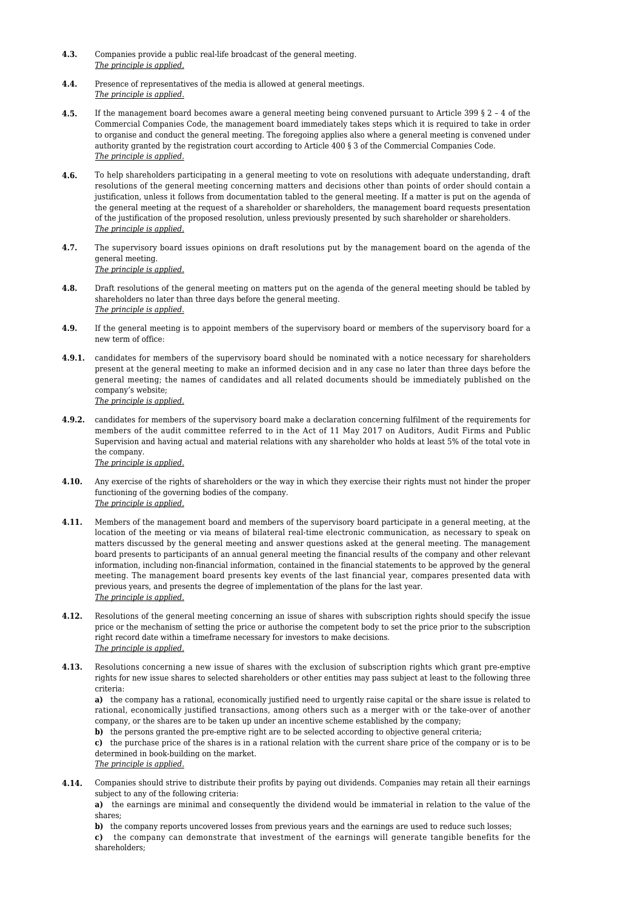- **4.3.** Companies provide a public real-life broadcast of the general meeting. *The principle is applied.*
- **4.4.** Presence of representatives of the media is allowed at general meetings. *The principle is applied.*
- **4.5.** If the management board becomes aware a general meeting being convened pursuant to Article 399 § 2 4 of the Commercial Companies Code, the management board immediately takes steps which it is required to take in order to organise and conduct the general meeting. The foregoing applies also where a general meeting is convened under authority granted by the registration court according to Article 400 § 3 of the Commercial Companies Code. *The principle is applied.*
- **4.6.** To help shareholders participating in a general meeting to vote on resolutions with adequate understanding, draft resolutions of the general meeting concerning matters and decisions other than points of order should contain a justification, unless it follows from documentation tabled to the general meeting. If a matter is put on the agenda of the general meeting at the request of a shareholder or shareholders, the management board requests presentation of the justification of the proposed resolution, unless previously presented by such shareholder or shareholders. *The principle is applied.*
- **4.7.** The supervisory board issues opinions on draft resolutions put by the management board on the agenda of the general meeting. *The principle is applied.*
- **4.8.** Draft resolutions of the general meeting on matters put on the agenda of the general meeting should be tabled by shareholders no later than three days before the general meeting. *The principle is applied.*
- **4.9.** If the general meeting is to appoint members of the supervisory board or members of the supervisory board for a new term of office:
- **4.9.1.** candidates for members of the supervisory board should be nominated with a notice necessary for shareholders present at the general meeting to make an informed decision and in any case no later than three days before the general meeting; the names of candidates and all related documents should be immediately published on the company's website; *The principle is applied.*
- **4.9.2.** candidates for members of the supervisory board make a declaration concerning fulfilment of the requirements for members of the audit committee referred to in the Act of 11 May 2017 on Auditors, Audit Firms and Public Supervision and having actual and material relations with any shareholder who holds at least 5% of the total vote in the company. *The principle is applied.*
- **4.10.** Any exercise of the rights of shareholders or the way in which they exercise their rights must not hinder the proper functioning of the governing bodies of the company. *The principle is applied.*
- **4.11.** Members of the management board and members of the supervisory board participate in a general meeting, at the location of the meeting or via means of bilateral real-time electronic communication, as necessary to speak on matters discussed by the general meeting and answer questions asked at the general meeting. The management board presents to participants of an annual general meeting the financial results of the company and other relevant information, including non-financial information, contained in the financial statements to be approved by the general meeting. The management board presents key events of the last financial year, compares presented data with previous years, and presents the degree of implementation of the plans for the last year. *The principle is applied.*
- **4.12.** Resolutions of the general meeting concerning an issue of shares with subscription rights should specify the issue price or the mechanism of setting the price or authorise the competent body to set the price prior to the subscription right record date within a timeframe necessary for investors to make decisions. *The principle is applied.*
- **4.13.** Resolutions concerning a new issue of shares with the exclusion of subscription rights which grant pre-emptive rights for new issue shares to selected shareholders or other entities may pass subject at least to the following three criteria:

**a)** the company has a rational, economically justified need to urgently raise capital or the share issue is related to rational, economically justified transactions, among others such as a merger with or the take-over of another company, or the shares are to be taken up under an incentive scheme established by the company;

**b)** the persons granted the pre-emptive right are to be selected according to objective general criteria;

**c)** the purchase price of the shares is in a rational relation with the current share price of the company or is to be determined in book-building on the market.

- *The principle is applied.*
- **4.14.** Companies should strive to distribute their profits by paying out dividends. Companies may retain all their earnings subject to any of the following criteria:

**a)** the earnings are minimal and consequently the dividend would be immaterial in relation to the value of the shares;

**b)** the company reports uncovered losses from previous years and the earnings are used to reduce such losses; **c)** the company can demonstrate that investment of the earnings will generate tangible benefits for the shareholders;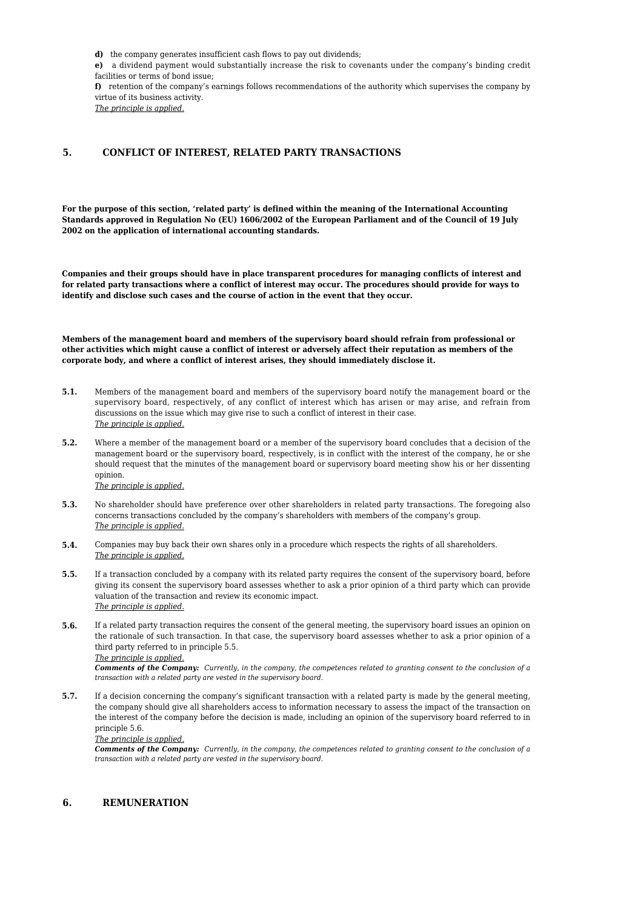**d)** the company generates insufficient cash flows to pay out dividends;

**e)** a dividend payment would substantially increase the risk to covenants under the company's binding credit facilities or terms of bond issue;

**f)** retention of the company's earnings follows recommendations of the authority which supervises the company by virtue of its business activity.

*The principle is applied.*

## **5. CONFLICT OF INTEREST, RELATED PARTY TRANSACTIONS**

**For the purpose of this section, 'related party' is defined within the meaning of the International Accounting Standards approved in Regulation No (EU) 1606/2002 of the European Parliament and of the Council of 19 July 2002 on the application of international accounting standards.**

**Companies and their groups should have in place transparent procedures for managing conflicts of interest and for related party transactions where a conflict of interest may occur. The procedures should provide for ways to identify and disclose such cases and the course of action in the event that they occur.**

**Members of the management board and members of the supervisory board should refrain from professional or other activities which might cause a conflict of interest or adversely affect their reputation as members of the corporate body, and where a conflict of interest arises, they should immediately disclose it.**

- **5.1.** Members of the management board and members of the supervisory board notify the management board or the supervisory board, respectively, of any conflict of interest which has arisen or may arise, and refrain from discussions on the issue which may give rise to such a conflict of interest in their case. *The principle is applied.*
- **5.2.** Where a member of the management board or a member of the supervisory board concludes that a decision of the management board or the supervisory board, respectively, is in conflict with the interest of the company, he or she should request that the minutes of the management board or supervisory board meeting show his or her dissenting opinion. *The principle is applied.*
- **5.3.** No shareholder should have preference over other shareholders in related party transactions. The foregoing also concerns transactions concluded by the company's shareholders with members of the company's group. *The principle is applied.*
- **5.4.** Companies may buy back their own shares only in a procedure which respects the rights of all shareholders. *The principle is applied.*
- **5.5.** If a transaction concluded by a company with its related party requires the consent of the supervisory board, before giving its consent the supervisory board assesses whether to ask a prior opinion of a third party which can provide valuation of the transaction and review its economic impact. *The principle is applied.*
- **5.6.** If a related party transaction requires the consent of the general meeting, the supervisory board issues an opinion on the rationale of such transaction. In that case, the supervisory board assesses whether to ask a prior opinion of a third party referred to in principle 5.5.

*The principle is applied.*

*Comments of the Company: Currently, in the company, the competences related to granting consent to the conclusion of a transaction with a related party are vested in the supervisory board.*

**5.7.** If a decision concerning the company's significant transaction with a related party is made by the general meeting, the company should give all shareholders access to information necessary to assess the impact of the transaction on the interest of the company before the decision is made, including an opinion of the supervisory board referred to in principle 5.6.

*The principle is applied.*

*Comments of the Company: Currently, in the company, the competences related to granting consent to the conclusion of a transaction with a related party are vested in the supervisory board.*

#### **6. REMUNERATION**